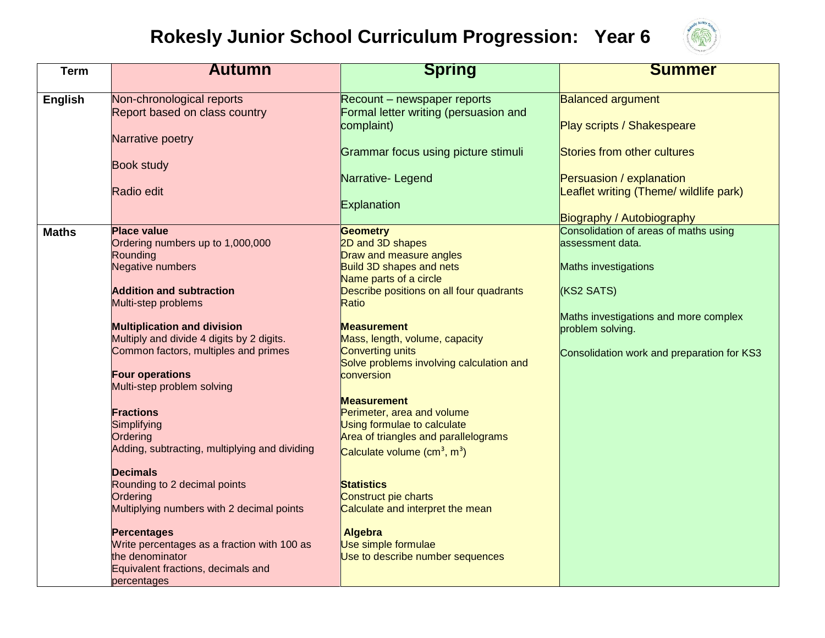## **Rokesly Junior School Curriculum Progression: Year 6**



| <b>Term</b>    | <b>Autumn</b>                                                                                                                                                                                                                                                                                                                                                                                                                                                                                                                                          | <b>Spring</b>                                                                                                                                                                                                                                                                                                                                                                                                                                                                                                                                               | <b>Summer</b>                                                                                                                                                                                                                                  |
|----------------|--------------------------------------------------------------------------------------------------------------------------------------------------------------------------------------------------------------------------------------------------------------------------------------------------------------------------------------------------------------------------------------------------------------------------------------------------------------------------------------------------------------------------------------------------------|-------------------------------------------------------------------------------------------------------------------------------------------------------------------------------------------------------------------------------------------------------------------------------------------------------------------------------------------------------------------------------------------------------------------------------------------------------------------------------------------------------------------------------------------------------------|------------------------------------------------------------------------------------------------------------------------------------------------------------------------------------------------------------------------------------------------|
| <b>English</b> | Non-chronological reports<br>Report based on class country                                                                                                                                                                                                                                                                                                                                                                                                                                                                                             | Recount – newspaper reports<br>Formal letter writing (persuasion and                                                                                                                                                                                                                                                                                                                                                                                                                                                                                        | <b>Balanced argument</b>                                                                                                                                                                                                                       |
|                | Narrative poetry                                                                                                                                                                                                                                                                                                                                                                                                                                                                                                                                       | complaint)<br>Grammar focus using picture stimuli                                                                                                                                                                                                                                                                                                                                                                                                                                                                                                           | Play scripts / Shakespeare<br>Stories from other cultures                                                                                                                                                                                      |
|                | <b>Book study</b>                                                                                                                                                                                                                                                                                                                                                                                                                                                                                                                                      | Narrative-Legend                                                                                                                                                                                                                                                                                                                                                                                                                                                                                                                                            | Persuasion / explanation                                                                                                                                                                                                                       |
|                | Radio edit                                                                                                                                                                                                                                                                                                                                                                                                                                                                                                                                             | Explanation                                                                                                                                                                                                                                                                                                                                                                                                                                                                                                                                                 | Leaflet writing (Theme/ wildlife park)                                                                                                                                                                                                         |
| <b>Maths</b>   | <b>Place value</b><br>Ordering numbers up to 1,000,000<br>Rounding<br><b>Negative numbers</b><br><b>Addition and subtraction</b><br>Multi-step problems<br><b>Multiplication and division</b><br>Multiply and divide 4 digits by 2 digits.<br>Common factors, multiples and primes<br><b>Four operations</b><br>Multi-step problem solving<br><b>Fractions</b><br>Simplifying<br>Ordering<br>Adding, subtracting, multiplying and dividing<br><b>Decimals</b><br>Rounding to 2 decimal points<br>Ordering<br>Multiplying numbers with 2 decimal points | Geometry<br>2D and 3D shapes<br>Draw and measure angles<br>Build 3D shapes and nets<br>Name parts of a circle<br>Describe positions on all four quadrants<br>Ratio<br><b>Measurement</b><br>Mass, length, volume, capacity<br><b>Converting units</b><br>Solve problems involving calculation and<br>conversion<br><b>Measurement</b><br>Perimeter, area and volume<br>Using formulae to calculate<br>Area of triangles and parallelograms<br>Calculate volume $(cm3, m3)$<br><b>Statistics</b><br>Construct pie charts<br>Calculate and interpret the mean | Biography / Autobiography<br>Consolidation of areas of maths using<br>assessment data.<br><b>Maths investigations</b><br>(KS2 SATS)<br>Maths investigations and more complex<br>problem solving.<br>Consolidation work and preparation for KS3 |
|                | <b>Percentages</b><br>Write percentages as a fraction with 100 as<br>the denominator<br>Equivalent fractions, decimals and<br>percentages                                                                                                                                                                                                                                                                                                                                                                                                              | <b>Algebra</b><br>Use simple formulae<br>Use to describe number sequences                                                                                                                                                                                                                                                                                                                                                                                                                                                                                   |                                                                                                                                                                                                                                                |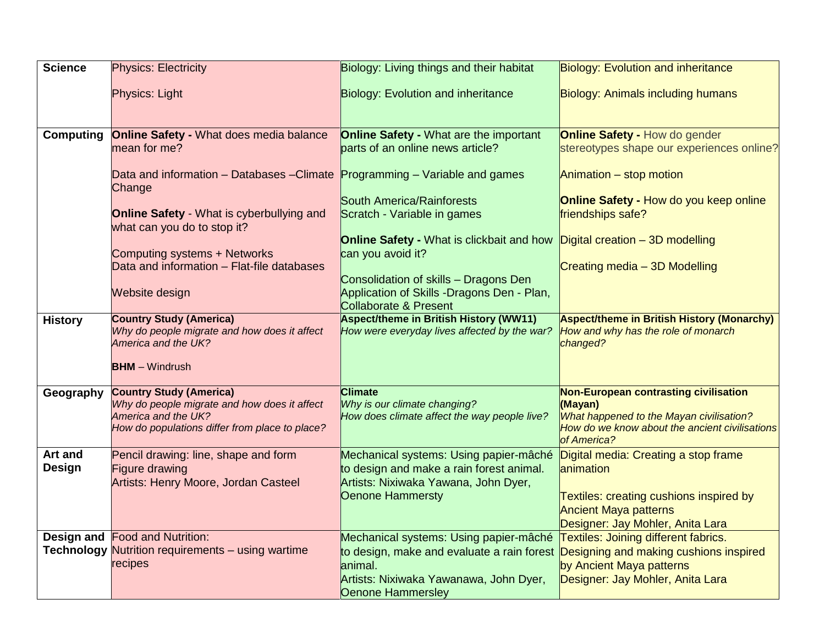| <b>Science</b>                  | <b>Physics: Electricity</b>                                                                                                                             | Biology: Living things and their habitat                                                                                                                       | <b>Biology: Evolution and inheritance</b>                                                                                                                        |
|---------------------------------|---------------------------------------------------------------------------------------------------------------------------------------------------------|----------------------------------------------------------------------------------------------------------------------------------------------------------------|------------------------------------------------------------------------------------------------------------------------------------------------------------------|
|                                 | Physics: Light                                                                                                                                          | <b>Biology: Evolution and inheritance</b>                                                                                                                      | <b>Biology: Animals including humans</b>                                                                                                                         |
| <b>Computing</b>                | <b>Online Safety - What does media balance</b><br>mean for me?                                                                                          | <b>Online Safety - What are the important</b><br>parts of an online news article?                                                                              | <b>Online Safety - How do gender</b><br>stereotypes shape our experiences online?                                                                                |
|                                 | Data and information – Databases –Climate Programming – Variable and games<br>Change                                                                    | <b>South America/Rainforests</b>                                                                                                                               | Animation - stop motion<br><b>Online Safety - How do you keep online</b>                                                                                         |
|                                 | Online Safety - What is cyberbullying and<br>what can you do to stop it?                                                                                | Scratch - Variable in games                                                                                                                                    | friendships safe?                                                                                                                                                |
|                                 | Computing systems + Networks                                                                                                                            | <b>Online Safety - What is clickbait and how</b><br>can you avoid it?                                                                                          | Digital creation - 3D modelling                                                                                                                                  |
|                                 | Data and information - Flat-file databases<br>Website design                                                                                            | Consolidation of skills - Dragons Den<br>Application of Skills -Dragons Den - Plan,                                                                            | Creating media - 3D Modelling                                                                                                                                    |
|                                 |                                                                                                                                                         | <b>Collaborate &amp; Present</b>                                                                                                                               |                                                                                                                                                                  |
| <b>History</b>                  | <b>Country Study (America)</b><br>Why do people migrate and how does it affect<br>America and the UK?<br><b>BHM</b> - Windrush                          | <b>Aspect/theme in British History (WW11)</b><br>How were everyday lives affected by the war?                                                                  | <b>Aspect/theme in British History (Monarchy)</b><br>How and why has the role of monarch<br>changed?                                                             |
| Geography                       | <b>Country Study (America)</b><br>Why do people migrate and how does it affect<br>America and the UK?<br>How do populations differ from place to place? | <b>Climate</b><br>Why is our climate changing?<br>How does climate affect the way people live?                                                                 | Non-European contrasting civilisation<br>(Mayan)<br>What happened to the Mayan civilisation?<br>How do we know about the ancient civilisations<br>of America?    |
| <b>Art and</b><br><b>Design</b> | Pencil drawing: line, shape and form<br><b>Figure drawing</b><br>Artists: Henry Moore, Jordan Casteel                                                   | Mechanical systems: Using papier-mâché<br>to design and make a rain forest animal.<br>Artists: Nixiwaka Yawana, John Dyer,<br>Oenone Hammersty                 | Digital media: Creating a stop frame<br>animation<br>Textiles: creating cushions inspired by<br><b>Ancient Maya patterns</b><br>Designer: Jay Mohler, Anita Lara |
| Design and                      | <b>Food and Nutrition:</b><br>Technology Nutrition requirements - using wartime<br>recipes                                                              | Mechanical systems: Using papier-mâché<br>to design, make and evaluate a rain forest<br>animal.<br>Artists: Nixiwaka Yawanawa, John Dyer,<br>Oenone Hammersley | Textiles: Joining different fabrics.<br>Designing and making cushions inspired<br>by Ancient Maya patterns<br>Designer: Jay Mohler, Anita Lara                   |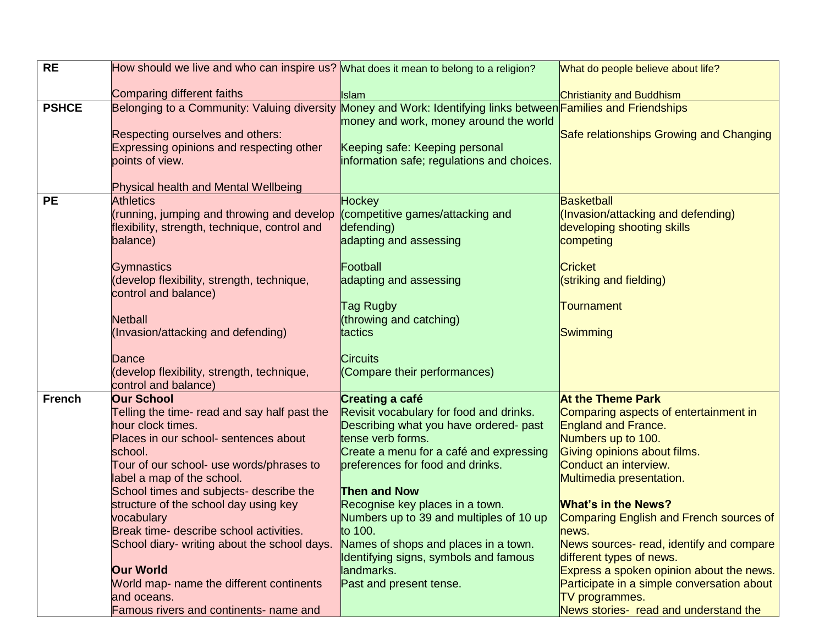| <b>RE</b>     | How should we live and who can inspire us? What does it mean to belong to a religion?                          |                                            | What do people believe about life?                      |
|---------------|----------------------------------------------------------------------------------------------------------------|--------------------------------------------|---------------------------------------------------------|
|               | Comparing different faiths                                                                                     | <b>Islam</b>                               | Christianity and Buddhism                               |
| <b>PSHCE</b>  | Belonging to a Community: Valuing diversity Money and Work: Identifying links between Families and Friendships |                                            |                                                         |
|               |                                                                                                                | money and work, money around the world     |                                                         |
|               | Respecting ourselves and others:                                                                               |                                            | Safe relationships Growing and Changing                 |
|               | Expressing opinions and respecting other                                                                       | Keeping safe: Keeping personal             |                                                         |
|               | points of view.                                                                                                | information safe; regulations and choices. |                                                         |
|               | Physical health and Mental Wellbeing                                                                           |                                            |                                                         |
| <b>PE</b>     | <b>Athletics</b>                                                                                               | Hockey                                     | <b>Basketball</b>                                       |
|               | (running, jumping and throwing and develop                                                                     | (competitive games/attacking and           | (Invasion/attacking and defending)                      |
|               | flexibility, strength, technique, control and                                                                  | defending)                                 | developing shooting skills                              |
|               | balance)                                                                                                       | adapting and assessing                     | competing                                               |
|               | <b>Gymnastics</b>                                                                                              | Football                                   | <b>Cricket</b>                                          |
|               | (develop flexibility, strength, technique,                                                                     | adapting and assessing                     | (striking and fielding)                                 |
|               | control and balance)                                                                                           |                                            |                                                         |
|               |                                                                                                                | Tag Rugby                                  | <b>Tournament</b>                                       |
|               | <b>Netball</b>                                                                                                 | (throwing and catching)                    |                                                         |
|               | (Invasion/attacking and defending)                                                                             | tactics                                    | Swimming                                                |
|               | Dance                                                                                                          | <b>Circuits</b>                            |                                                         |
|               | (develop flexibility, strength, technique,                                                                     | (Compare their performances)               |                                                         |
|               | control and balance)                                                                                           |                                            |                                                         |
| <b>French</b> | <b>Our School</b>                                                                                              | Creating a café                            | <b>At the Theme Park</b>                                |
|               | Telling the time- read and say half past the                                                                   | Revisit vocabulary for food and drinks.    | Comparing aspects of entertainment in                   |
|               | hour clock times.                                                                                              | Describing what you have ordered- past     | England and France.                                     |
|               | Places in our school- sentences about                                                                          | tense verb forms.                          | Numbers up to 100.                                      |
|               | school.                                                                                                        | Create a menu for a café and expressing    | Giving opinions about films.                            |
|               | Tour of our school- use words/phrases to<br>label a map of the school.                                         | preferences for food and drinks.           | Conduct an interview.<br>Multimedia presentation.       |
|               | School times and subjects- describe the                                                                        | <b>Then and Now</b>                        |                                                         |
|               | structure of the school day using key                                                                          | Recognise key places in a town.            | <b>What's in the News?</b>                              |
|               | vocabulary                                                                                                     | Numbers up to 39 and multiples of 10 up    | Comparing English and French sources of                 |
|               | Break time- describe school activities.                                                                        | to 100.                                    | news.                                                   |
|               | School diary- writing about the school days.                                                                   | Names of shops and places in a town.       | News sources- read, identify and compare                |
|               |                                                                                                                | Identifying signs, symbols and famous      | different types of news.                                |
|               | <b>Our World</b>                                                                                               | landmarks.                                 | Express a spoken opinion about the news.                |
|               | World map- name the different continents                                                                       | Past and present tense.                    | Participate in a simple conversation about              |
|               |                                                                                                                |                                            |                                                         |
|               | and oceans.<br>Famous rivers and continents- name and                                                          |                                            | TV programmes.<br>News stories- read and understand the |